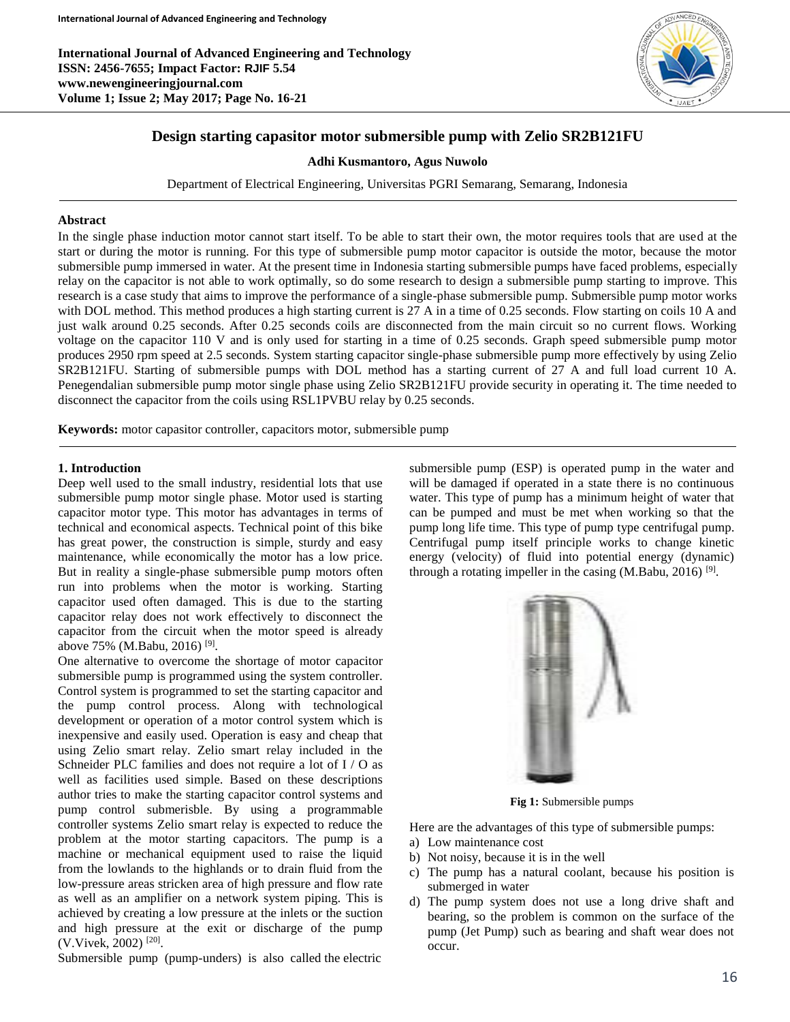**International Journal of Advanced Engineering and Technology ISSN: 2456-7655; Impact Factor: RJIF 5.54 www.newengineeringjournal.com Volume 1; Issue 2; May 2017; Page No. 16-21**



# **Design starting capasitor motor submersible pump with Zelio SR2B121FU**

**Adhi Kusmantoro, Agus Nuwolo**

Department of Electrical Engineering, Universitas PGRI Semarang, Semarang, Indonesia

## **Abstract**

In the single phase induction motor cannot start itself. To be able to start their own, the motor requires tools that are used at the start or during the motor is running. For this type of submersible pump motor capacitor is outside the motor, because the motor submersible pump immersed in water. At the present time in Indonesia starting submersible pumps have faced problems, especially relay on the capacitor is not able to work optimally, so do some research to design a submersible pump starting to improve. This research is a case study that aims to improve the performance of a single-phase submersible pump. Submersible pump motor works with DOL method. This method produces a high starting current is 27 A in a time of 0.25 seconds. Flow starting on coils 10 A and just walk around 0.25 seconds. After 0.25 seconds coils are disconnected from the main circuit so no current flows. Working voltage on the capacitor 110 V and is only used for starting in a time of 0.25 seconds. Graph speed submersible pump motor produces 2950 rpm speed at 2.5 seconds. System starting capacitor single-phase submersible pump more effectively by using Zelio SR2B121FU. Starting of submersible pumps with DOL method has a starting current of 27 A and full load current 10 A. Penegendalian submersible pump motor single phase using Zelio SR2B121FU provide security in operating it. The time needed to disconnect the capacitor from the coils using RSL1PVBU relay by 0.25 seconds.

**Keywords:** motor capasitor controller, capacitors motor, submersible pump

## **1. Introduction**

Deep well used to the small industry, residential lots that use submersible pump motor single phase. Motor used is starting capacitor motor type. This motor has advantages in terms of technical and economical aspects. Technical point of this bike has great power, the construction is simple, sturdy and easy maintenance, while economically the motor has a low price. But in reality a single-phase submersible pump motors often run into problems when the motor is working. Starting capacitor used often damaged. This is due to the starting capacitor relay does not work effectively to disconnect the capacitor from the circuit when the motor speed is already above 75% (M.Babu, 2016)<sup>[9]</sup>.

One alternative to overcome the shortage of motor capacitor submersible pump is programmed using the system controller. Control system is programmed to set the starting capacitor and the pump control process. Along with technological development or operation of a motor control system which is inexpensive and easily used. Operation is easy and cheap that using Zelio smart relay. Zelio smart relay included in the Schneider PLC families and does not require a lot of I / O as well as facilities used simple. Based on these descriptions author tries to make the starting capacitor control systems and pump control submerisble. By using a programmable controller systems Zelio smart relay is expected to reduce the problem at the motor starting capacitors. The pump is a machine or mechanical equipment used to raise the liquid from the lowlands to the highlands or to drain fluid from the low-pressure areas stricken area of high pressure and flow rate as well as an amplifier on a network system piping. This is achieved by creating a low pressure at the inlets or the suction and high pressure at the exit or discharge of the pump (V.Vivek, 2002)<sup>[20]</sup>.

Submersible pump (pump-unders) is also called the electric

submersible pump (ESP) is operated pump in the water and will be damaged if operated in a state there is no continuous water. This type of pump has a minimum height of water that can be pumped and must be met when working so that the pump long life time. This type of pump type centrifugal pump. Centrifugal pump itself principle works to change kinetic energy (velocity) of fluid into potential energy (dynamic) through a rotating impeller in the casing  $(M.Babu, 2016)$ <sup>[9]</sup>.



**Fig 1:** Submersible pumps

Here are the advantages of this type of submersible pumps:

- a) Low maintenance cost
- b) Not noisy, because it is in the well
- c) The pump has a natural coolant, because his position is submerged in water
- d) The pump system does not use a long drive shaft and bearing, so the problem is common on the surface of the pump (Jet Pump) such as bearing and shaft wear does not occur.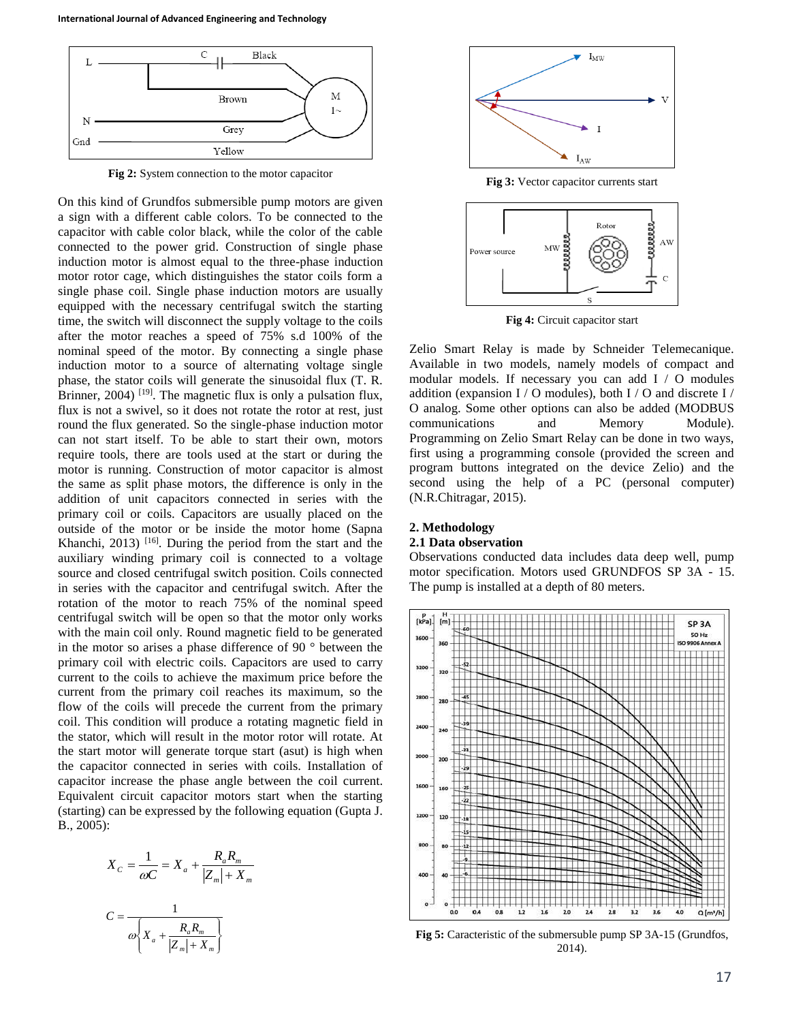

**Fig 2:** System connection to the motor capacitor

On this kind of Grundfos submersible pump motors are given a sign with a different cable colors. To be connected to the capacitor with cable color black, while the color of the cable connected to the power grid. Construction of single phase induction motor is almost equal to the three-phase induction motor rotor cage, which distinguishes the stator coils form a single phase coil. Single phase induction motors are usually equipped with the necessary centrifugal switch the starting time, the switch will disconnect the supply voltage to the coils after the motor reaches a speed of 75% s.d 100% of the nominal speed of the motor. By connecting a single phase induction motor to a source of alternating voltage single phase, the stator coils will generate the sinusoidal flux (T. R. Brinner,  $2004$ ) <sup>[19]</sup>. The magnetic flux is only a pulsation flux, flux is not a swivel, so it does not rotate the rotor at rest, just round the flux generated. So the single-phase induction motor can not start itself. To be able to start their own, motors require tools, there are tools used at the start or during the motor is running. Construction of motor capacitor is almost the same as split phase motors, the difference is only in the addition of unit capacitors connected in series with the primary coil or coils. Capacitors are usually placed on the outside of the motor or be inside the motor home (Sapna Khanchi, 2013)  $[16]$ . During the period from the start and the auxiliary winding primary coil is connected to a voltage source and closed centrifugal switch position. Coils connected in series with the capacitor and centrifugal switch. After the rotation of the motor to reach 75% of the nominal speed centrifugal switch will be open so that the motor only works with the main coil only. Round magnetic field to be generated in the motor so arises a phase difference of 90 ° between the primary coil with electric coils. Capacitors are used to carry current to the coils to achieve the maximum price before the current from the primary coil reaches its maximum, so the flow of the coils will precede the current from the primary coil. This condition will produce a rotating magnetic field in the stator, which will result in the motor rotor will rotate. At the start motor will generate torque start (asut) is high when the capacitor connected in series with coils. Installation of capacitor increase the phase angle between the coil current. Equivalent circuit capacitor motors start when the starting (starting) can be expressed by the following equation (Gupta J. B., 2005):

$$
X_C = \frac{1}{\omega C} = X_a + \frac{R_a R_m}{|Z_m| + X_m}
$$

$$
C = \frac{1}{\omega \left\{ X_a + \frac{R_a R_m}{|Z_m| + X_m} \right\}}
$$





**Fig 4:** Circuit capacitor start

Zelio Smart Relay is made by Schneider Telemecanique. Available in two models, namely models of compact and modular models. If necessary you can add I / O modules addition (expansion I / O modules), both I / O and discrete I / O analog. Some other options can also be added (MODBUS communications and Memory Module). Programming on Zelio Smart Relay can be done in two ways, first using a programming console (provided the screen and program buttons integrated on the device Zelio) and the second using the help of a PC (personal computer) (N.R.Chitragar, 2015).

## **2. Methodology**

### **2.1 Data observation**

Observations conducted data includes data deep well, pump motor specification. Motors used GRUNDFOS SP 3A - 15. The pump is installed at a depth of 80 meters.



**Fig 5:** Caracteristic of the submersuble pump SP 3A-15 (Grundfos, 2014).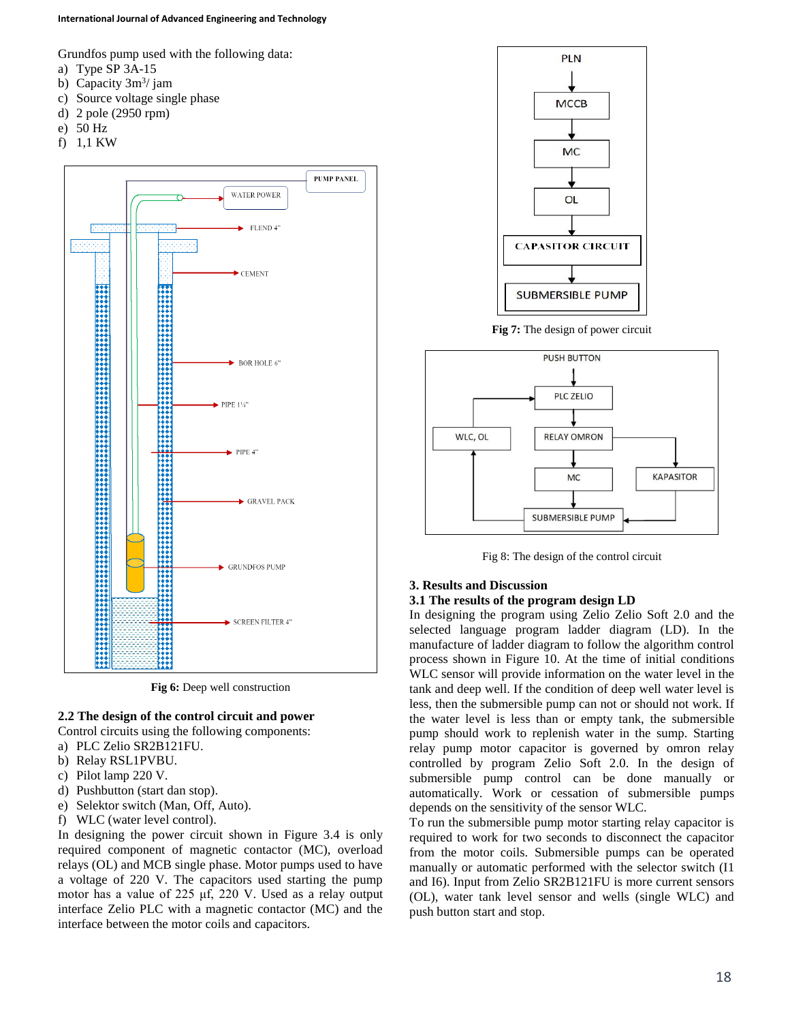#### **International Journal of Advanced Engineering and Technology**

Grundfos pump used with the following data:

- a) Type SP 3A-15
- b) Capacity  $3m^3$ / jam
- c) Source voltage single phase
- d) 2 pole (2950 rpm)
- e) 50 Hz
- f) 1,1 KW



![](_page_2_Figure_9.jpeg)

# **2.2 The design of the control circuit and power**

Control circuits using the following components:

- a) PLC Zelio SR2B121FU.
- b) Relay RSL1PVBU.
- c) Pilot lamp 220 V.
- d) Pushbutton (start dan stop).
- e) Selektor switch (Man, Off, Auto).
- f) WLC (water level control).

In designing the power circuit shown in Figure 3.4 is only required component of magnetic contactor (MC), overload relays (OL) and MCB single phase. Motor pumps used to have a voltage of 220 V. The capacitors used starting the pump motor has a value of 225 μf, 220 V. Used as a relay output interface Zelio PLC with a magnetic contactor (MC) and the interface between the motor coils and capacitors.

![](_page_2_Figure_19.jpeg)

**Fig 7:** The design of power circuit

![](_page_2_Figure_21.jpeg)

Fig 8: The design of the control circuit

### **3. Results and Discussion**

## **3.1 The results of the program design LD**

In designing the program using Zelio Zelio Soft 2.0 and the selected language program ladder diagram (LD). In the manufacture of ladder diagram to follow the algorithm control process shown in Figure 10. At the time of initial conditions WLC sensor will provide information on the water level in the tank and deep well. If the condition of deep well water level is less, then the submersible pump can not or should not work. If the water level is less than or empty tank, the submersible pump should work to replenish water in the sump. Starting relay pump motor capacitor is governed by omron relay controlled by program Zelio Soft 2.0. In the design of submersible pump control can be done manually or automatically. Work or cessation of submersible pumps depends on the sensitivity of the sensor WLC.

To run the submersible pump motor starting relay capacitor is required to work for two seconds to disconnect the capacitor from the motor coils. Submersible pumps can be operated manually or automatic performed with the selector switch (I1 and I6). Input from Zelio SR2B121FU is more current sensors (OL), water tank level sensor and wells (single WLC) and push button start and stop.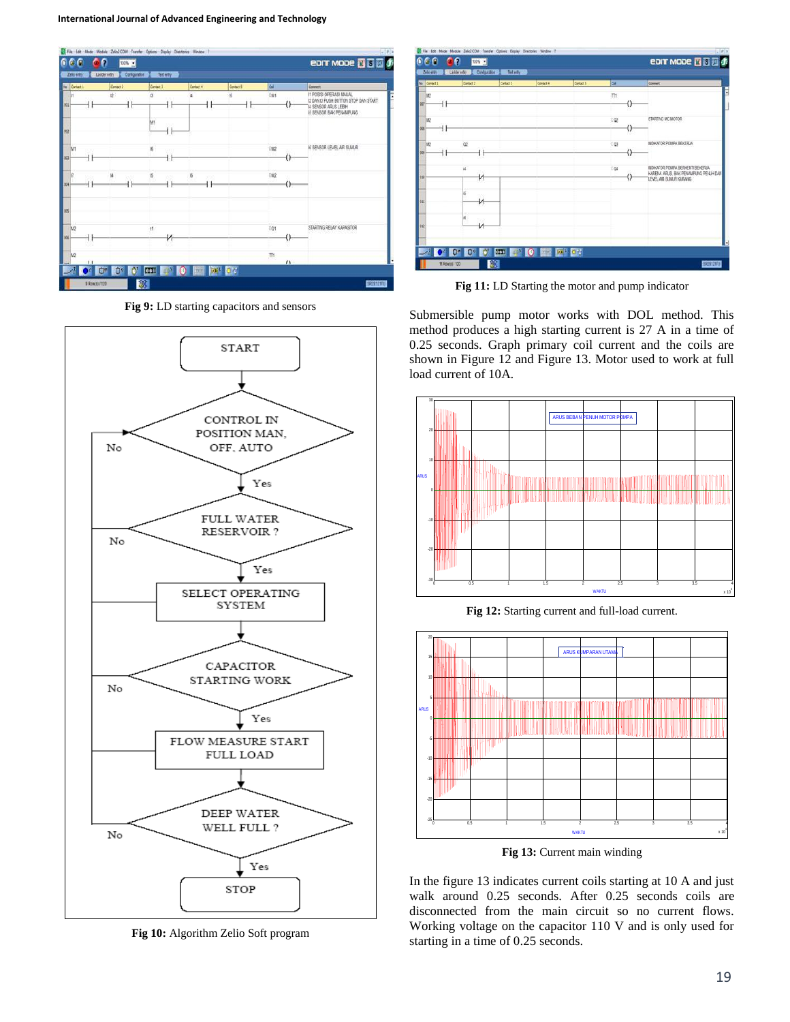![](_page_3_Figure_1.jpeg)

**Fig 9:** LD starting capacitors and sensors

![](_page_3_Figure_3.jpeg)

**Fig 10:** Algorithm Zelio Soft program

![](_page_3_Figure_5.jpeg)

**Fig 11:** LD Starting the motor and pump indicator

Submersible pump motor works with DOL method. This method produces a high starting current is 27 A in a time of 0.25 seconds. Graph primary coil current and the coils are shown in Figure 12 and Figure 13. Motor used to work at full load current of 10A.

![](_page_3_Figure_8.jpeg)

**Fig 12:** Starting current and full-load current.

![](_page_3_Figure_10.jpeg)

**Fig 13:** Current main winding

In the figure 13 indicates current coils starting at 10 A and just walk around 0.25 seconds. After 0.25 seconds coils are disconnected from the main circuit so no current flows. Working voltage on the capacitor 110 V and is only used for starting in a time of 0.25 seconds.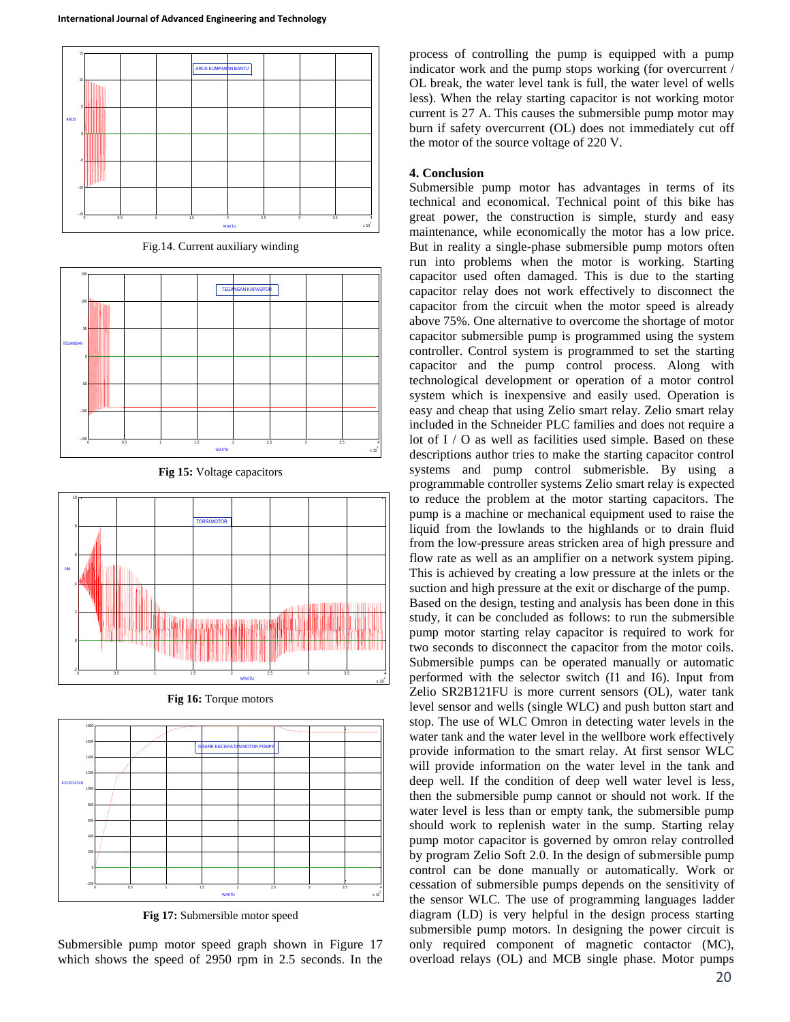![](_page_4_Figure_1.jpeg)

Fig.14. Current auxiliary winding

![](_page_4_Figure_3.jpeg)

![](_page_4_Figure_4.jpeg)

![](_page_4_Figure_5.jpeg)

**Fig 16:** Torque motors

![](_page_4_Figure_7.jpeg)

**Fig 17:** Submersible motor speed

Submersible pump motor speed graph shown in Figure 17 which shows the speed of 2950 rpm in 2.5 seconds. In the

process of controlling the pump is equipped with a pump indicator work and the pump stops working (for overcurrent / OL break, the water level tank is full, the water level of wells less). When the relay starting capacitor is not working motor current is 27 A. This causes the submersible pump motor may burn if safety overcurrent (OL) does not immediately cut off the motor of the source voltage of 220 V.

## **4. Conclusion**

Submersible pump motor has advantages in terms of its technical and economical. Technical point of this bike has great power, the construction is simple, sturdy and easy maintenance, while economically the motor has a low price. But in reality a single-phase submersible pump motors often run into problems when the motor is working. Starting capacitor used often damaged. This is due to the starting capacitor relay does not work effectively to disconnect the capacitor from the circuit when the motor speed is already above 75%. One alternative to overcome the shortage of motor capacitor submersible pump is programmed using the system controller. Control system is programmed to set the starting capacitor and the pump control process. Along with technological development or operation of a motor control system which is inexpensive and easily used. Operation is easy and cheap that using Zelio smart relay. Zelio smart relay included in the Schneider PLC families and does not require a lot of I / O as well as facilities used simple. Based on these descriptions author tries to make the starting capacitor control systems and pump control submerisble. By using a programmable controller systems Zelio smart relay is expected to reduce the problem at the motor starting capacitors. The pump is a machine or mechanical equipment used to raise the liquid from the lowlands to the highlands or to drain fluid from the low-pressure areas stricken area of high pressure and flow rate as well as an amplifier on a network system piping. This is achieved by creating a low pressure at the inlets or the suction and high pressure at the exit or discharge of the pump. Based on the design, testing and analysis has been done in this study, it can be concluded as follows: to run the submersible pump motor starting relay capacitor is required to work for two seconds to disconnect the capacitor from the motor coils. Submersible pumps can be operated manually or automatic performed with the selector switch (I1 and I6). Input from Zelio SR2B121FU is more current sensors (OL), water tank level sensor and wells (single WLC) and push button start and stop. The use of WLC Omron in detecting water levels in the water tank and the water level in the wellbore work effectively provide information to the smart relay. At first sensor WLC will provide information on the water level in the tank and deep well. If the condition of deep well water level is less, then the submersible pump cannot or should not work. If the water level is less than or empty tank, the submersible pump should work to replenish water in the sump. Starting relay pump motor capacitor is governed by omron relay controlled by program Zelio Soft 2.0. In the design of submersible pump control can be done manually or automatically. Work or cessation of submersible pumps depends on the sensitivity of the sensor WLC. The use of programming languages ladder diagram (LD) is very helpful in the design process starting submersible pump motors. In designing the power circuit is only required component of magnetic contactor (MC), overload relays (OL) and MCB single phase. Motor pumps